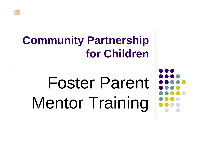### **Community Partnership for Children**

# Foster Parent Mentor Training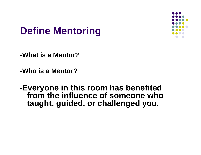#### **Define Mentoring**



- **-What is a Mentor?**
- **-Who is a Mentor?**
- **-Everyone in this room has benefited from the influence of someone who taught, guided, or challenged you.**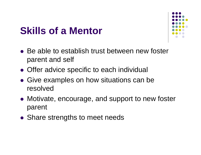#### **Skills of a Mentor**



- Be able to establish trust between new foster parent and self
- **Offer advice specific to each individual**
- Give examples on how situations can be resolved
- Motivate, encourage, and support to new foster parent
- **Share strengths to meet needs**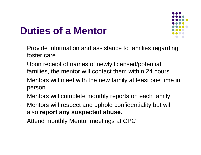#### **Duties of a Mentor**



- Provide information and assistance to families regarding foster care
- Upon receipt of names of newly licensed/potential families, the mentor will contact them within 24 hours.
- Mentors will meet with the new family at least one time in person.
- Mentors will complete monthly reports on each family
- Mentors will respect and uphold confidentiality but will also **report any suspected abuse.**
- Attend monthly Mentor meetings at CPC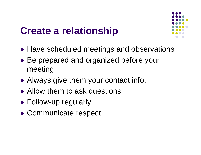#### **Create a relationship**



- Have scheduled meetings and observations
- Be prepared and organized before your meeting
- Always give them your contact info.
- Allow them to ask questions
- Follow-up regularly
- Communicate respect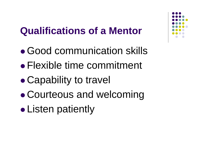#### **Qualifications of a Mentor**

- Good communication skills
- Flexible time commitment
- $\bullet$ Capability to travel
- $\bullet$ Courteous and welcoming
- $\bullet$ Listen patiently

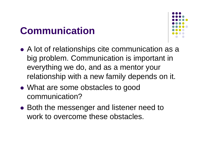#### **Communication**



- A lot of relationships cite communication as a big problem. Communication is important in everything we do, and as a mentor your relationship with a new family depends on it.
- What are some obstacles to good communication?
- Both the messenger and listener need to work to overcome these obstacles.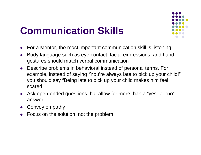#### **Communication Skills**



- $\bullet$ For a Mentor, the most important communication skill is listening
- $\bullet$  Body language such as eye contact, facial expressions, and hand gestures should match verbal communication
- $\bullet$  Describe problems in behavioral instead of personal terms. For example, instead of saying "You're always late to pick up your child!" you should say "Being late to pick up your child makes him feel scared."
- $\bullet$  Ask open-ended questions that allow for more than a "yes" or "no" answer.
- $\bullet$ Convey empathy
- $\bullet$ Focus on the solution, not the problem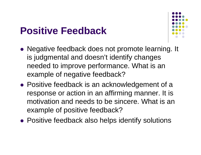#### **Positive Feedback**



- Negative feedback does not promote learning. It is judgmental and doesn't identify changes needed to improve performance. What is an example of negative feedback?
- Positive feedback is an acknowledgement of a response or action in an affirming manner. It is motivation and needs to be sincere. What is an example of positive feedback?
- Positive feedback also helps identify solutions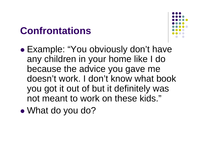#### **Confrontations**



- $\bullet$  Example: "You obviously don't have any children in your home like I do because the advice you gave me doesn't work. I don't know what book you got it out of but it definitely was not meant to work on these kids."
- $\bullet$ • What do you do?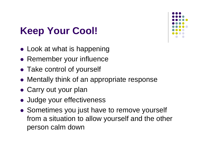#### **Keep Your Cool!**

- Look at what is happening
- Remember your influence
- Take control of yourself
- Mentally think of an appropriate response
- Carry out your plan
- Judge your effectiveness
- Sometimes you just have to remove yourself from a situation to allow yourself and the other person calm down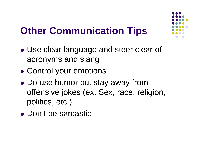#### **Other Communication Tips**

- $\bullet$  Use clear language and steer clear of acronyms and slang
- $\bullet$ Control your emotions
- $\bullet$  Do use humor but stay away from offensive jokes (ex. Sex, race, religion, politics, etc.)
- Don't be sarcastic

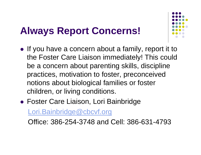#### **Always Report Concerns!**



- If you have a concern about a family, report it to the Foster Care Liaison immediately! This could be a concern about parenting skills, discipline practices, motivation to foster, preconceived notions about biological families or foster children, or living conditions.
- Foster Care Liaison, Lori Bainbridge

[Lori.Bainbridge@cbcvf.org](mailto:Lori.Bainbridge@cbcvf.org)

Office: 386-254-3748 and Cell: 386-631-4793